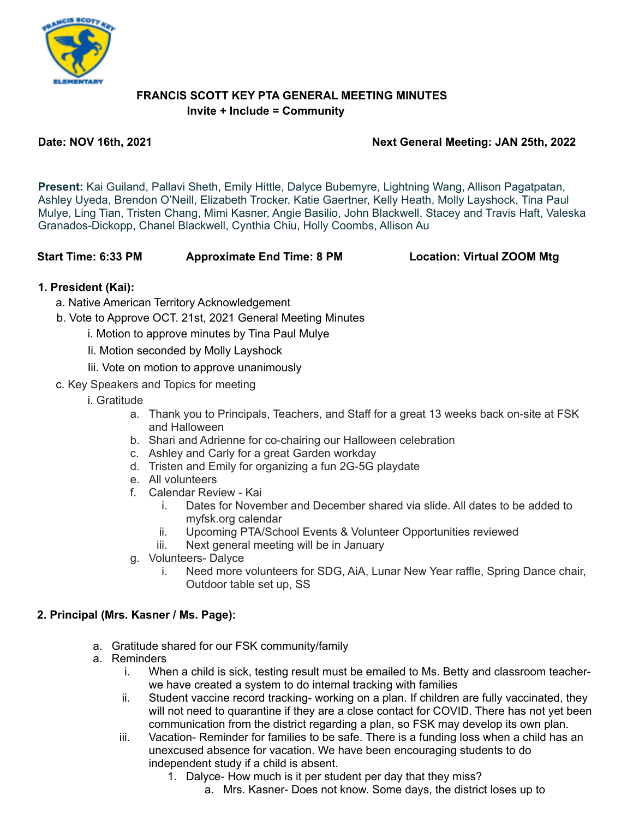

## **FRANCIS SCOTT KEY PTA GENERAL MEETING MINUTES Invite + Include = Community**

## **Date: NOV 16th, 2021 Next General Meeting: JAN 25th, 2022**

**Present:** Kai Guiland, Pallavi Sheth, Emily Hittle, Dalyce Bubemyre, Lightning Wang, Allison Pagatpatan, Ashley Uyeda, Brendon O'Neill, Elizabeth Trocker, Katie Gaertner, Kelly Heath, Molly Layshock, Tina Paul Mulye, Ling Tian, Tristen Chang, Mimi Kasner, Angie Basilio, John Blackwell, Stacey and Travis Haft, Valeska Granados-Dickopp, Chanel Blackwell, Cynthia Chiu, Holly Coombs, Allison Au

**Start Time: 6:33 PM Approximate End Time: 8 PM Location: Virtual ZOOM Mtg**

## **1. President (Kai):**

- a. Native American Territory Acknowledgement
- b. Vote to Approve OCT. 21st, 2021 General Meeting Minutes
	- i. Motion to approve minutes by Tina Paul Mulye
	- Ii. Motion seconded by Molly Layshock
	- Iii. Vote on motion to approve unanimously
- c. Key Speakers and Topics for meeting
	- i. Gratitude
		- a. Thank you to Principals, Teachers, and Staff for a great 13 weeks back on-site at FSK and Halloween
		- b. Shari and Adrienne for co-chairing our Halloween celebration
		- c. Ashley and Carly for a great Garden workday
		- d. Tristen and Emily for organizing a fun 2G-5G playdate
		- e. All volunteers
		- f. Calendar Review Kai
			- i. Dates for November and December shared via slide. All dates to be added to myfsk.org calendar
			- ii. Upcoming PTA/School Events & Volunteer Opportunities reviewed
			- iii. Next general meeting will be in January
		- g. Volunteers- Dalyce
			- i. Need more volunteers for SDG, AiA, Lunar New Year raffle, Spring Dance chair, Outdoor table set up, SS

# **2. Principal (Mrs. Kasner / Ms. Page):**

- a. Gratitude shared for our FSK community/family
- a. Reminders
	- i. When a child is sick, testing result must be emailed to Ms. Betty and classroom teacherwe have created a system to do internal tracking with families
	- ii. Student vaccine record tracking- working on a plan. If children are fully vaccinated, they will not need to quarantine if they are a close contact for COVID. There has not yet been communication from the district regarding a plan, so FSK may develop its own plan.
	- iii. Vacation- Reminder for families to be safe. There is a funding loss when a child has an unexcused absence for vacation. We have been encouraging students to do independent study if a child is absent.
		- 1. Dalyce- How much is it per student per day that they miss?
			- a. Mrs. Kasner- Does not know. Some days, the district loses up to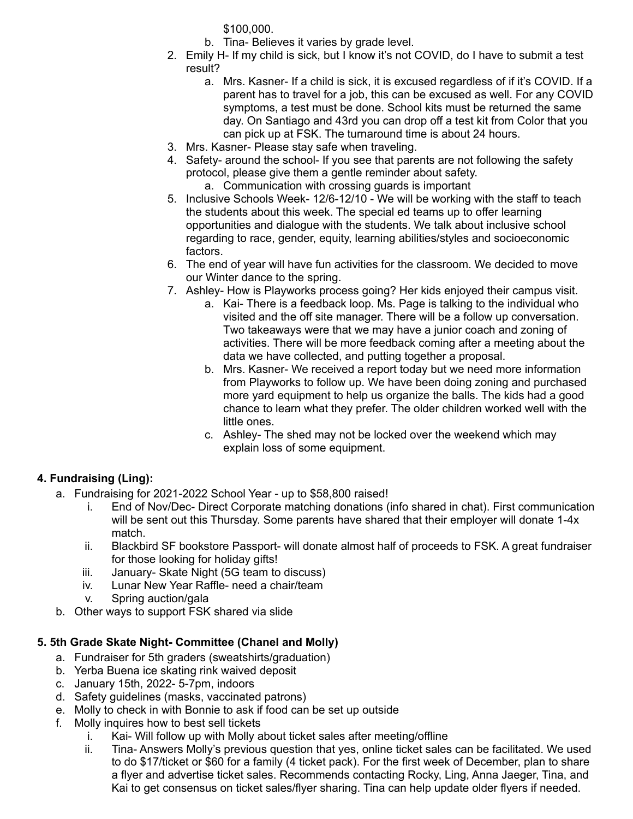\$100,000.

- b. Tina- Believes it varies by grade level.
- 2. Emily H- If my child is sick, but I know it's not COVID, do I have to submit a test result?
	- a. Mrs. Kasner- If a child is sick, it is excused regardless of if it's COVID. If a parent has to travel for a job, this can be excused as well. For any COVID symptoms, a test must be done. School kits must be returned the same day. On Santiago and 43rd you can drop off a test kit from Color that you can pick up at FSK. The turnaround time is about 24 hours.
- 3. Mrs. Kasner- Please stay safe when traveling.
- 4. Safety- around the school- If you see that parents are not following the safety protocol, please give them a gentle reminder about safety. a. Communication with crossing guards is important
- 5. Inclusive Schools Week- 12/6-12/10 We will be working with the staff to teach the students about this week. The special ed teams up to offer learning opportunities and dialogue with the students. We talk about inclusive school regarding to race, gender, equity, learning abilities/styles and socioeconomic factors.
- 6. The end of year will have fun activities for the classroom. We decided to move our Winter dance to the spring.
- 7. Ashley- How is Playworks process going? Her kids enjoyed their campus visit.
	- a. Kai- There is a feedback loop. Ms. Page is talking to the individual who visited and the off site manager. There will be a follow up conversation. Two takeaways were that we may have a junior coach and zoning of activities. There will be more feedback coming after a meeting about the data we have collected, and putting together a proposal.
	- b. Mrs. Kasner- We received a report today but we need more information from Playworks to follow up. We have been doing zoning and purchased more yard equipment to help us organize the balls. The kids had a good chance to learn what they prefer. The older children worked well with the little ones.
	- c. Ashley- The shed may not be locked over the weekend which may explain loss of some equipment.

# **4. Fundraising (Ling):**

- a. Fundraising for 2021-2022 School Year up to \$58,800 raised!
	- i. End of Nov/Dec- Direct Corporate matching donations (info shared in chat). First communication will be sent out this Thursday. Some parents have shared that their employer will donate 1-4x match.
	- ii. Blackbird SF bookstore Passport- will donate almost half of proceeds to FSK. A great fundraiser for those looking for holiday gifts!
	- iii. January- Skate Night (5G team to discuss)
	- iv. Lunar New Year Raffle- need a chair/team
	- v. Spring auction/gala
- b. Other ways to support FSK shared via slide

# **5. 5th Grade Skate Night- Committee (Chanel and Molly)**

- a. Fundraiser for 5th graders (sweatshirts/graduation)
- b. Yerba Buena ice skating rink waived deposit
- c. January 15th, 2022- 5-7pm, indoors
- d. Safety guidelines (masks, vaccinated patrons)
- e. Molly to check in with Bonnie to ask if food can be set up outside
- f. Molly inquires how to best sell tickets
	- i. Kai- Will follow up with Molly about ticket sales after meeting/offline
	- ii. Tina- Answers Molly's previous question that yes, online ticket sales can be facilitated. We used to do \$17/ticket or \$60 for a family (4 ticket pack). For the first week of December, plan to share a flyer and advertise ticket sales. Recommends contacting Rocky, Ling, Anna Jaeger, Tina, and Kai to get consensus on ticket sales/flyer sharing. Tina can help update older flyers if needed.